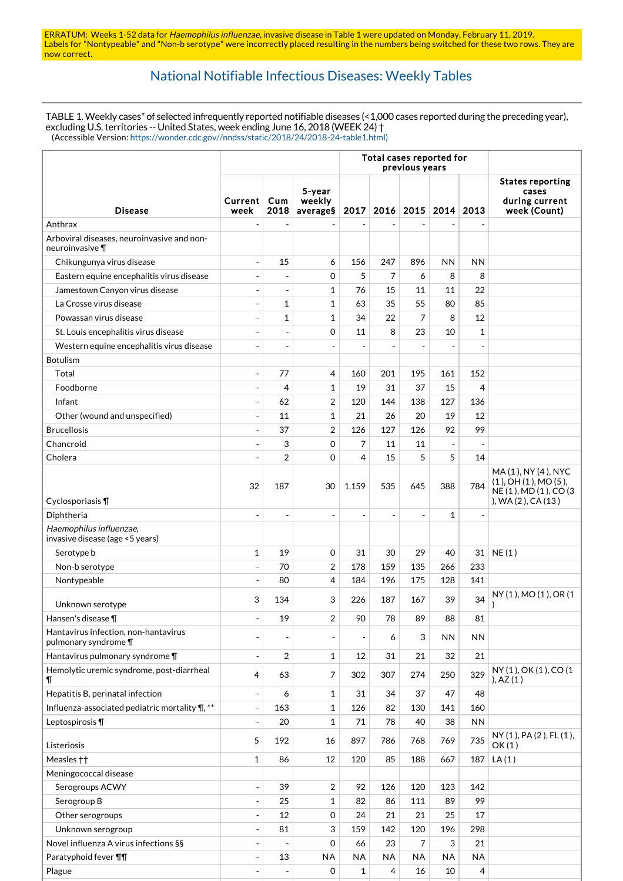ERRATUM: Weeks 1-52 data for Haemophilus influenzae, invasive disease in Table 1 were updated on Monday, February 11, 2019. Labels for "Nontypeable" and "Non-b serotype" were incorrectly placed resulting in the numbers being switched for these two rows. They are now correct.

## [National Notifiable Infectious Diseases: Weekly Tables](https://wwwn.cdc.gov/nndss/)

TABLE 1. Weekly cases\* of selected infrequently reported notifiable diseases (<1,000 cases reported during the preceding year), excluding U.S. territories -- United States, week ending June 16, 2018 (WEEK 24) † (Accessible Version: [https://wonder.cdc.gov//nndss/static/2018/24/2018-24-table1.html\)](https://wonder.cdc.gov//nndss/static/2018/24/2018-24-table1.html)

|                                                               |                          |                          |                              | Total cases reported for<br>previous years |           |           |                |              |                                                                                                    |
|---------------------------------------------------------------|--------------------------|--------------------------|------------------------------|--------------------------------------------|-----------|-----------|----------------|--------------|----------------------------------------------------------------------------------------------------|
| <b>Disease</b>                                                | Current<br>week          | Cum<br>2018              | 5-year<br>weekly<br>average§ | 2017                                       | 2016      | 2015      | 2014           | 2013         | <b>States reporting</b><br>cases<br>during current<br>week (Count)                                 |
| Anthrax                                                       |                          |                          |                              |                                            |           |           |                |              |                                                                                                    |
| Arboviral diseases, neuroinvasive and non-<br>neuroinvasive ¶ |                          |                          |                              |                                            |           |           |                |              |                                                                                                    |
| Chikungunya virus disease                                     | $\overline{a}$           | 15                       | 6                            | 156                                        | 247       | 896       | <b>NN</b>      | <b>NN</b>    |                                                                                                    |
| Eastern equine encephalitis virus disease                     | $\overline{a}$           |                          | 0                            | 5                                          | 7         | 6         | 8              | 8            |                                                                                                    |
| Jamestown Canyon virus disease                                | $\overline{a}$           | $\overline{\phantom{a}}$ | $\mathbf{1}$                 | 76                                         | 15        | 11        | 11             | 22           |                                                                                                    |
| La Crosse virus disease                                       | ÷,                       | 1                        | 1                            | 63                                         | 35        | 55        | 80             | 85           |                                                                                                    |
| Powassan virus disease                                        | ÷                        | $\mathbf 1$              | $\mathbf{1}$                 | 34                                         | 22        | 7         | 8              | 12           |                                                                                                    |
| St. Louis encephalitis virus disease                          | ÷,                       |                          | 0                            | 11                                         | 8         | 23        | 10             | $\mathbf{1}$ |                                                                                                    |
| Western equine encephalitis virus disease                     |                          |                          | $\overline{\phantom{a}}$     |                                            |           |           |                |              |                                                                                                    |
| Botulism                                                      |                          |                          |                              |                                            |           |           |                |              |                                                                                                    |
| Total                                                         |                          | 77                       | 4                            | 160                                        | 201       | 195       | 161            | 152          |                                                                                                    |
| Foodborne                                                     | $\overline{a}$           | 4                        | 1                            | 19                                         | 31        | 37        | 15             | 4            |                                                                                                    |
| Infant                                                        |                          | 62                       | $\overline{2}$               | 120                                        | 144       | 138       | 127            | 136          |                                                                                                    |
| Other (wound and unspecified)                                 | $\overline{\phantom{a}}$ | 11                       | $\mathbf 1$                  | 21                                         | 26        | 20        | 19             | 12           |                                                                                                    |
| <b>Brucellosis</b>                                            | $\overline{a}$           | 37                       | 2                            | 126                                        | 127       | 126       | 92             | 99           |                                                                                                    |
| Chancroid                                                     | $\overline{a}$           | 3                        | 0                            | 7                                          | 11        | 11        | $\overline{a}$ |              |                                                                                                    |
| Cholera                                                       |                          | $\overline{2}$           | $\mathbf 0$                  | 4                                          | 15        | 5         | 5              | 14           |                                                                                                    |
| Cyclosporiasis ¶                                              | 32                       | 187                      | 30                           | 1,159                                      | 535       | 645       | 388            | 784          | MA(1), NY(4), NYC<br>$(1)$ , OH $(1)$ , MO $(5)$ ,<br>NE(1), MD(1), CO(3)<br>), $WA(2)$ , $CA(13)$ |
| Diphtheria                                                    |                          |                          | $\overline{\phantom{a}}$     |                                            |           |           | 1              |              |                                                                                                    |
| Haemophilus influenzae,<br>invasive disease (age <5 years)    |                          |                          |                              |                                            |           |           |                |              |                                                                                                    |
| Serotype b                                                    | 1                        | 19                       | $\mathbf 0$                  | 31                                         | 30        | 29        | 40             | 31           | NE(1)                                                                                              |
| Non-b serotype                                                | $\overline{\phantom{a}}$ | 70                       | 2                            | 178                                        | 159       | 135       | 266            | 233          |                                                                                                    |
| Nontypeable                                                   | $\overline{\phantom{a}}$ | 80                       | 4                            | 184                                        | 196       | 175       | 128            | 141          |                                                                                                    |
| Unknown serotype                                              | 3                        | 134                      | 3                            | 226                                        | 187       | 167       | 39             | 34           | NY (1), MO (1), OR (1                                                                              |
| Hansen's disease ¶                                            |                          | 19                       | $\overline{\mathbf{c}}$      | 90                                         | 78        | 89        | 88             | 81           |                                                                                                    |
| Hantavirus infection, non-hantavirus<br>pulmonary syndrome ¶  | $\overline{\phantom{a}}$ | $\overline{\phantom{a}}$ | $\overline{\phantom{a}}$     | $\overline{\phantom{a}}$                   | 6         | 3         | <b>NN</b>      | <b>NN</b>    |                                                                                                    |
| Hantavirus pulmonary syndrome ¶                               | $\overline{\phantom{a}}$ | 2                        | $\mathbf{1}$                 | 12                                         | 31        | 21        | 32             | 21           |                                                                                                    |
| Hemolytic uremic syndrome, post-diarrheal<br>$\P$             | $\overline{4}$           | 63                       | $\overline{7}$               | 302                                        | 307       | 274       | 250            | 329          | NY (1), OK (1), CO (1<br>, AZ $(1)$                                                                |
| Hepatitis B, perinatal infection                              |                          | 6                        | $\mathbf 1$                  | 31                                         | 34        | 37        | 47             | 48           |                                                                                                    |
| Influenza-associated pediatric mortality \, **                | $\blacksquare$           | 163                      | $\mathbf{1}$                 | 126                                        | 82        | 130       | 141            | 160          |                                                                                                    |
| Leptospirosis ¶                                               | $\equiv$                 | 20                       | $\mathbf 1$                  | 71                                         | 78        | 40        | 38             | <b>NN</b>    |                                                                                                    |
| Listeriosis                                                   | 5                        | 192                      | 16                           | 897                                        | 786       | 768       | 769            | 735          | NY (1), PA (2), FL (1),<br>OK(1)                                                                   |
| Measles ++                                                    | $\mathbf{1}$             | 86                       | 12                           | 120                                        | 85        | 188       | 667            | 187          | LA(1)                                                                                              |
| Meningococcal disease                                         |                          |                          |                              |                                            |           |           |                |              |                                                                                                    |
| Serogroups ACWY                                               | $\equiv$                 | 39                       | 2                            | 92                                         | 126       | 120       | 123            | 142          |                                                                                                    |
| Serogroup B                                                   | $\overline{\phantom{a}}$ | 25                       | $\mathbf{1}$                 | 82                                         | 86        | 111       | 89             | 99           |                                                                                                    |
| Other serogroups                                              | $\overline{a}$           | 12                       | 0                            | 24                                         | 21        | 21        | 25             | 17           |                                                                                                    |
| Unknown serogroup                                             |                          | 81                       | 3                            | 159                                        | 142       | 120       | 196            | 298          |                                                                                                    |
| Novel influenza A virus infections §§                         | $\overline{\phantom{a}}$ |                          | 0                            | 66                                         | 23        | 7         | 3              | 21           |                                                                                                    |
| Paratyphoid fever <b>[1]</b>                                  |                          | 13                       | <b>NA</b>                    | <b>NA</b>                                  | <b>NA</b> | <b>NA</b> | <b>NA</b>      | <b>NA</b>    |                                                                                                    |
| Plague                                                        |                          |                          | 0                            | $\mathbf{1}$                               | 4         | $16\,$    | 10             | 4            |                                                                                                    |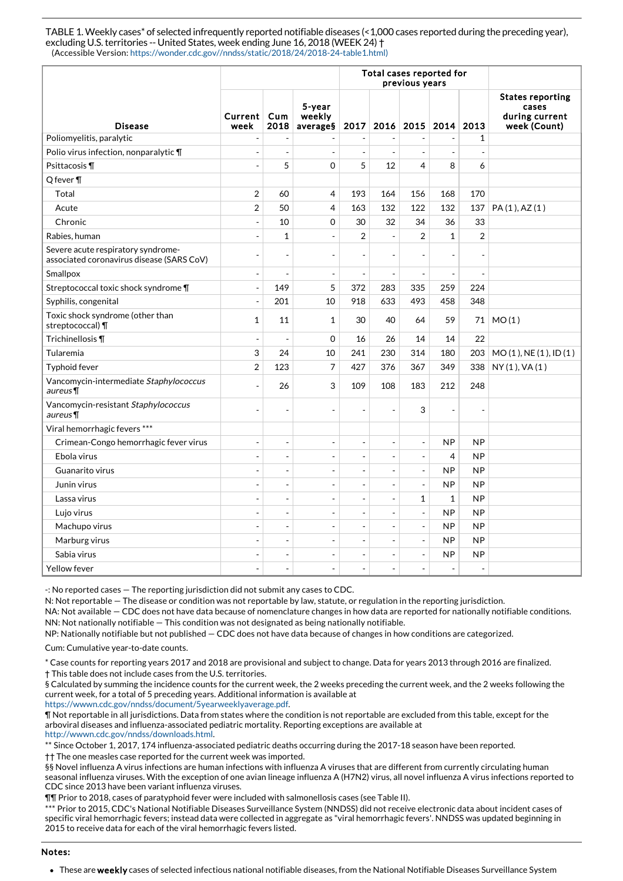TABLE 1. Weekly cases\* of selected infrequently reported notifiable diseases (<1,000 cases reported during the preceding year), excluding U.S. territories -- United States, week ending June 16, 2018 (WEEK 24) † (Accessible Version: https://wonder.cdc.gov//nndss/static/2018/24/2018-24-table1.html)

|                                                                                 | Total cases reported for<br>previous years |                          |                              |                          |                          |                          |                          |                |                                                                    |
|---------------------------------------------------------------------------------|--------------------------------------------|--------------------------|------------------------------|--------------------------|--------------------------|--------------------------|--------------------------|----------------|--------------------------------------------------------------------|
| <b>Disease</b>                                                                  | Current   Cum<br>week                      | 2018                     | 5-year<br>weekly<br>average§ | 2017                     | 2016                     | 2015                     | 2014 2013                |                | <b>States reporting</b><br>cases<br>during current<br>week (Count) |
| Poliomyelitis, paralytic                                                        |                                            |                          |                              |                          |                          |                          |                          | 1              |                                                                    |
| Polio virus infection, nonparalytic ¶                                           | $\overline{a}$                             | $\overline{a}$           | $\overline{a}$               | $\bar{\phantom{a}}$      |                          | $\overline{a}$           | $\overline{a}$           |                |                                                                    |
| Psittacosis ¶                                                                   |                                            | 5                        | 0                            | 5                        | 12                       | 4                        | 8                        | 6              |                                                                    |
| Q fever ¶                                                                       |                                            |                          |                              |                          |                          |                          |                          |                |                                                                    |
| Total                                                                           | $\overline{2}$                             | 60                       | 4                            | 193                      | 164                      | 156                      | 168                      | 170            |                                                                    |
| Acute                                                                           | $\overline{2}$                             | 50                       | 4                            | 163                      | 132                      | 122                      | 132                      | 137            | PA(1), AZ(1)                                                       |
| Chronic                                                                         | $\overline{a}$                             | 10                       | $\Omega$                     | 30                       | 32                       | 34                       | 36                       | 33             |                                                                    |
| Rabies, human                                                                   |                                            | $\mathbf{1}$             | $\overline{a}$               | $\overline{2}$           | $\overline{a}$           | $\overline{2}$           | $\mathbf{1}$             | $\overline{2}$ |                                                                    |
| Severe acute respiratory syndrome-<br>associated coronavirus disease (SARS CoV) |                                            |                          | $\overline{\phantom{a}}$     |                          |                          |                          |                          |                |                                                                    |
| Smallpox                                                                        | $\overline{a}$                             |                          | $\overline{a}$               | $\overline{a}$           | $\overline{a}$           | $\overline{a}$           | $\overline{\phantom{a}}$ |                |                                                                    |
| Streptococcal toxic shock syndrome \[                                           | $\overline{\phantom{a}}$                   | 149                      | 5                            | 372                      | 283                      | 335                      | 259                      | 224            |                                                                    |
| Syphilis, congenital                                                            | $\overline{\phantom{a}}$                   | 201                      | 10                           | 918                      | 633                      | 493                      | 458                      | 348            |                                                                    |
| Toxic shock syndrome (other than<br>streptococcal) ¶                            | $\mathbf{1}$                               | 11                       | 1                            | 30                       | 40                       | 64                       | 59                       | 71             | MO(1)                                                              |
| Trichinellosis ¶                                                                | $\overline{\phantom{a}}$                   | $\overline{a}$           | $\Omega$                     | 16                       | 26                       | 14                       | 14                       | 22             |                                                                    |
| Tularemia                                                                       | 3                                          | 24                       | 10                           | 241                      | 230                      | 314                      | 180                      | 203            | $MO(1)$ , NE $(1)$ , ID $(1)$                                      |
| Typhoid fever                                                                   | $\overline{2}$                             | 123                      | 7                            | 427                      | 376                      | 367                      | 349                      | 338            | NY(1), VA(1)                                                       |
| Vancomycin-intermediate Staphylococcus<br>aureus¶                               | $\overline{a}$                             | 26                       | 3                            | 109                      | 108                      | 183                      | 212                      | 248            |                                                                    |
| Vancomycin-resistant Staphylococcus<br>aureus¶                                  |                                            |                          | $\overline{\phantom{a}}$     | $\overline{a}$           |                          | 3                        |                          |                |                                                                    |
| Viral hemorrhagic fevers ***                                                    |                                            |                          |                              |                          |                          |                          |                          |                |                                                                    |
| Crimean-Congo hemorrhagic fever virus                                           | ÷,                                         | ÷,                       | $\overline{a}$               | $\overline{\phantom{a}}$ | ÷,                       | $\overline{a}$           | <b>NP</b>                | <b>NP</b>      |                                                                    |
| Ebola virus                                                                     | $\overline{a}$                             | $\overline{a}$           | $\overline{a}$               | $\overline{a}$           | $\overline{a}$           | $\overline{\phantom{0}}$ | 4                        | <b>NP</b>      |                                                                    |
| Guanarito virus                                                                 | $\overline{a}$                             | $\overline{a}$           | $\overline{\phantom{a}}$     | $\overline{\phantom{a}}$ | $\overline{\phantom{a}}$ | $\overline{\phantom{a}}$ | <b>NP</b>                | <b>NP</b>      |                                                                    |
| Junin virus                                                                     | $\overline{a}$                             | $\blacksquare$           | $\overline{\phantom{a}}$     | $\frac{1}{2}$            | $\overline{a}$           | $\frac{1}{2}$            | NP                       | <b>NP</b>      |                                                                    |
| Lassa virus                                                                     | $\overline{a}$                             | $\overline{\phantom{a}}$ | $\overline{\phantom{a}}$     | $\overline{\phantom{a}}$ | $\overline{\phantom{a}}$ | $\mathbf{1}$             | $\mathbf 1$              | <b>NP</b>      |                                                                    |
| Lujo virus                                                                      | $\overline{a}$                             | $\blacksquare$           | $\overline{a}$               | $\overline{a}$           | $\overline{a}$           | $\overline{a}$           | <b>NP</b>                | <b>NP</b>      |                                                                    |
| Machupo virus                                                                   | $\overline{a}$                             | $\overline{a}$           | $\overline{a}$               | $\overline{a}$           | $\overline{a}$           | $\overline{a}$           | NP                       | <b>NP</b>      |                                                                    |
| Marburg virus                                                                   | $\overline{a}$                             | ÷,                       | $\overline{a}$               | $\overline{a}$           | ÷,                       | $\overline{a}$           | NP                       | <b>NP</b>      |                                                                    |
| Sabia virus                                                                     | $\overline{a}$                             | $\overline{\phantom{a}}$ | $\overline{a}$               | $\overline{\phantom{a}}$ |                          | $\blacksquare$           | <b>NP</b>                | <b>NP</b>      |                                                                    |
| <b>Yellow fever</b>                                                             | $\overline{a}$                             | $\overline{a}$           | $\blacksquare$               | $\overline{a}$           | $\mathbf{r}$             | $\overline{\phantom{0}}$ | $\overline{a}$           | ÷,             |                                                                    |

-: No reported cases — The reporting jurisdiction did not submit any cases to CDC.

N: Not reportable — The disease or condition was not reportable by law, statute, or regulation in the reporting jurisdiction.

NA: Not available — CDC does not have data because of nomenclature changes in how data are reported for nationally notifiable conditions. NN: Not nationally notifiable — This condition was not designated as being nationally notifiable.

NP: Nationally notifiable but not published — CDC does not have data because of changes in how conditions are categorized.

Cum: Cumulative year-to-date counts.

\* Case counts for reporting years 2017 and 2018 are provisional and subject to change. Data for years 2013 through 2016 are finalized. † This table does not include cases from the U.S. territories.

§ Calculated by summing the incidence counts for the current week, the 2 weeks preceding the current week, and the 2 weeks following the current week, for a total of 5 preceding years. Additional information is available at <https://wwwn.cdc.gov/nndss/document/5yearweeklyaverage.pdf>.

¶ Not reportable in all jurisdictions. Data from states where the condition is not reportable are excluded from this table, except for the arboviral diseases and influenza-associated pediatric mortality. Reporting exceptions are available at <http://wwwn.cdc.gov/nndss/downloads.html>.

\*\* Since October 1, 2017, 174 influenza-associated pediatric deaths occurring during the 2017-18 season have been reported.

†† The one measles case reported for the current week was imported.

§§ Novel influenza A virus infections are human infections with influenza A viruses that are different from currently circulating human seasonal influenza viruses. With the exception of one avian lineage influenza A (H7N2) virus, all novel influenza A virus infections reported to CDC since 2013 have been variant influenza viruses.

¶¶ Prior to 2018, cases of paratyphoid fever were included with salmonellosis cases (see Table II).

\*\*\* Prior to 2015, CDC's National Notifiable Diseases Surveillance System (NNDSS) did not receive electronic data about incident cases of specific viral hemorrhagic fevers; instead data were collected in aggregate as "viral hemorrhagic fevers'. NNDSS was updated beginning in 2015 to receive data for each of the viral hemorrhagic fevers listed.

## Notes:

• These are weekly cases of selected infectious national notifiable diseases, from the National Notifiable Diseases Surveillance System